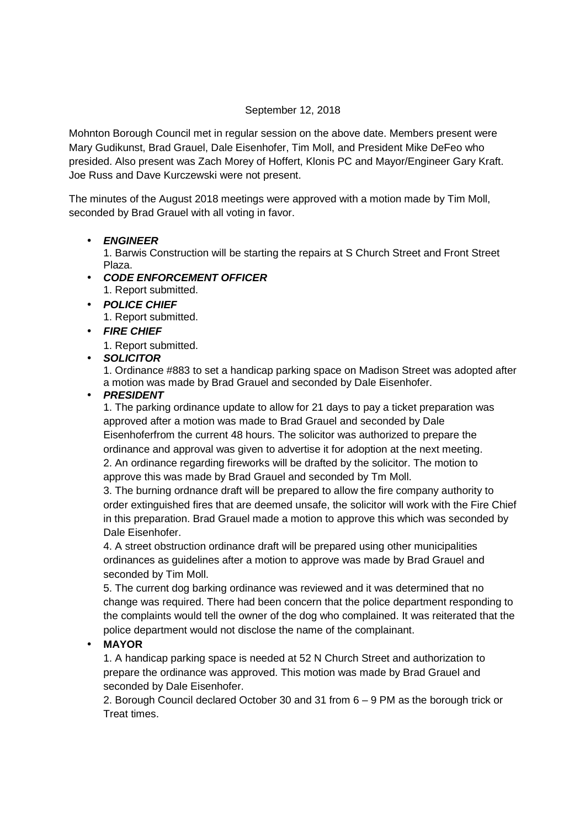#### September 12, 2018

Mohnton Borough Council met in regular session on the above date. Members present were Mary Gudikunst, Brad Grauel, Dale Eisenhofer, Tim Moll, and President Mike DeFeo who presided. Also present was Zach Morey of Hoffert, Klonis PC and Mayor/Engineer Gary Kraft. Joe Russ and Dave Kurczewski were not present.

The minutes of the August 2018 meetings were approved with a motion made by Tim Moll, seconded by Brad Grauel with all voting in favor.

## • **ENGINEER**

1. Barwis Construction will be starting the repairs at S Church Street and Front Street Plaza.

- **CODE ENFORCEMENT OFFICER**  1. Report submitted.
- **POLICE CHIEF** 1. Report submitted.

# • **FIRE CHIEF**

1. Report submitted.

# • **SOLICITOR**

1. Ordinance #883 to set a handicap parking space on Madison Street was adopted after a motion was made by Brad Grauel and seconded by Dale Eisenhofer.

## • **PRESIDENT**

1. The parking ordinance update to allow for 21 days to pay a ticket preparation was approved after a motion was made to Brad Grauel and seconded by Dale Eisenhoferfrom the current 48 hours. The solicitor was authorized to prepare the ordinance and approval was given to advertise it for adoption at the next meeting. 2. An ordinance regarding fireworks will be drafted by the solicitor. The motion to approve this was made by Brad Grauel and seconded by Tm Moll.

3. The burning ordnance draft will be prepared to allow the fire company authority to order extinguished fires that are deemed unsafe, the solicitor will work with the Fire Chief in this preparation. Brad Grauel made a motion to approve this which was seconded by Dale Eisenhofer.

4. A street obstruction ordinance draft will be prepared using other municipalities ordinances as guidelines after a motion to approve was made by Brad Grauel and seconded by Tim Moll.

5. The current dog barking ordinance was reviewed and it was determined that no change was required. There had been concern that the police department responding to the complaints would tell the owner of the dog who complained. It was reiterated that the police department would not disclose the name of the complainant.

# • **MAYOR**

1. A handicap parking space is needed at 52 N Church Street and authorization to prepare the ordinance was approved. This motion was made by Brad Grauel and seconded by Dale Eisenhofer.

2. Borough Council declared October 30 and 31 from 6 – 9 PM as the borough trick or Treat times.